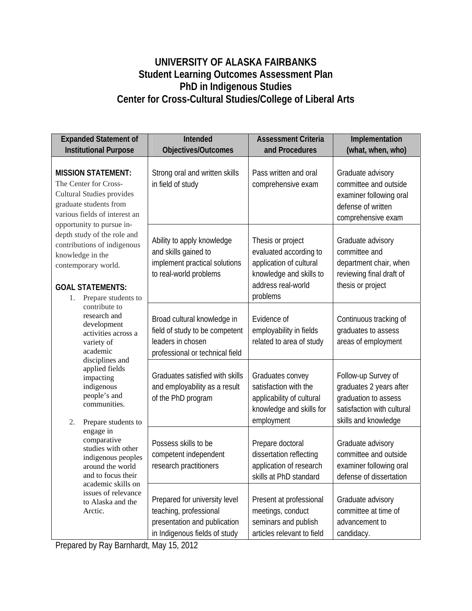## **UNIVERSITY OF ALASKA FAIRBANKS Student Learning Outcomes Assessment Plan PhD in Indigenous Studies Center for Cross-Cultural Studies/College of Liberal Arts**

| <b>Expanded Statement of</b>                                                                                                                                                                                                                                                                                                                                                                                                                                                                                                                                                                                                                                                                                                                                                 | Intended                                                                                                                 | <b>Assessment Criteria</b>                                                                                                          | Implementation                                                                                                               |
|------------------------------------------------------------------------------------------------------------------------------------------------------------------------------------------------------------------------------------------------------------------------------------------------------------------------------------------------------------------------------------------------------------------------------------------------------------------------------------------------------------------------------------------------------------------------------------------------------------------------------------------------------------------------------------------------------------------------------------------------------------------------------|--------------------------------------------------------------------------------------------------------------------------|-------------------------------------------------------------------------------------------------------------------------------------|------------------------------------------------------------------------------------------------------------------------------|
| <b>Institutional Purpose</b>                                                                                                                                                                                                                                                                                                                                                                                                                                                                                                                                                                                                                                                                                                                                                 | Objectives/Outcomes                                                                                                      | and Procedures                                                                                                                      | (what, when, who)                                                                                                            |
| <b>MISSION STATEMENT:</b><br>The Center for Cross-<br><b>Cultural Studies provides</b><br>graduate students from<br>various fields of interest an<br>opportunity to pursue in-<br>depth study of the role and<br>contributions of indigenous<br>knowledge in the<br>contemporary world.<br><b>GOAL STATEMENTS:</b><br>Prepare students to<br>1.<br>contribute to<br>research and<br>development<br>activities across a<br>variety of<br>academic<br>disciplines and<br>applied fields<br>impacting<br>indigenous<br>people's and<br>communities.<br>2.<br>Prepare students to<br>engage in<br>comparative<br>studies with other<br>indigenous peoples<br>around the world<br>and to focus their<br>academic skills on<br>issues of relevance<br>to Alaska and the<br>Arctic. | Strong oral and written skills<br>in field of study                                                                      | Pass written and oral<br>comprehensive exam                                                                                         | Graduate advisory<br>committee and outside<br>examiner following oral<br>defense of written<br>comprehensive exam            |
|                                                                                                                                                                                                                                                                                                                                                                                                                                                                                                                                                                                                                                                                                                                                                                              | Ability to apply knowledge<br>and skills gained to<br>implement practical solutions<br>to real-world problems            | Thesis or project<br>evaluated according to<br>application of cultural<br>knowledge and skills to<br>address real-world<br>problems | Graduate advisory<br>committee and<br>department chair, when<br>reviewing final draft of<br>thesis or project                |
|                                                                                                                                                                                                                                                                                                                                                                                                                                                                                                                                                                                                                                                                                                                                                                              | Broad cultural knowledge in<br>field of study to be competent<br>leaders in chosen<br>professional or technical field    | Evidence of<br>employability in fields<br>related to area of study                                                                  | Continuous tracking of<br>graduates to assess<br>areas of employment                                                         |
|                                                                                                                                                                                                                                                                                                                                                                                                                                                                                                                                                                                                                                                                                                                                                                              | Graduates satisfied with skills<br>and employability as a result<br>of the PhD program                                   | Graduates convey<br>satisfaction with the<br>applicability of cultural<br>knowledge and skills for<br>employment                    | Follow-up Survey of<br>graduates 2 years after<br>graduation to assess<br>satisfaction with cultural<br>skills and knowledge |
|                                                                                                                                                                                                                                                                                                                                                                                                                                                                                                                                                                                                                                                                                                                                                                              | Possess skills to be<br>competent independent<br>research practitioners                                                  | Prepare doctoral<br>dissertation reflecting<br>application of research<br>skills at PhD standard                                    | Graduate advisory<br>committee and outside<br>examiner following oral<br>defense of dissertation                             |
|                                                                                                                                                                                                                                                                                                                                                                                                                                                                                                                                                                                                                                                                                                                                                                              | Prepared for university level<br>teaching, professional<br>presentation and publication<br>in Indigenous fields of study | Present at professional<br>meetings, conduct<br>seminars and publish<br>articles relevant to field                                  | Graduate advisory<br>committee at time of<br>advancement to<br>candidacy.                                                    |

Prepared by Ray Barnhardt, May 15, 2012